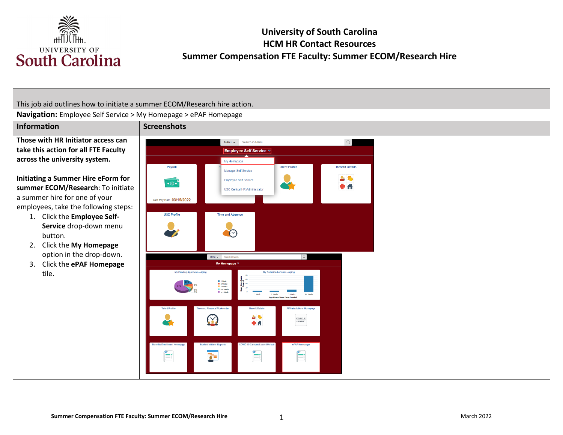

# **University of South Carolina HCM HR Contact Resources Summer Compensation FTE Faculty: Summer ECOM/Research Hire**

This job aid outlines how to initiate a summer ECOM/Research hire action. **Navigation:** Employee Self Service > My Homepage > ePAF Homepage **Information Screenshots Those with HR Initiator access can**  Menu v Search in Menu  $\begin{array}{c} Q \end{array}$ **take this action for all FTE Faculty**  Employee Self Service ▼ **across the university system.**  My Homepage Payroll **Talent Profile Benefit Details** Manager Self Service **Initiating a Summer Hire eForm for**  上取 Employee Self Service  $\overline{\cdot \circ \cdot}$ K **summer ECOM/Research**: To initiate 0 A **USC Central HR Administrato** a summer hire for one of your Last Pay Date 03/15/2022 employees, take the following steps: **USC Profile** Time and Absence 1. Click the **Employee Self-Service** drop-down menu button. 2. Click the **My Homepage**  option in the drop-down. Menu v Search in Mer 3. Click the **ePAF Homepage**  My Homepage  $\triangledown$ tile. y Submitted eForms - Aging ■ 1 Week<br>■ 2 Week<br>■ 3 Week<br>■ 4 + Wee<br>■ < 1 We 本系 X) **DRACLE**<br>PEOPLESOFT **+A** E É É  $\overline{\mathbf{r}}$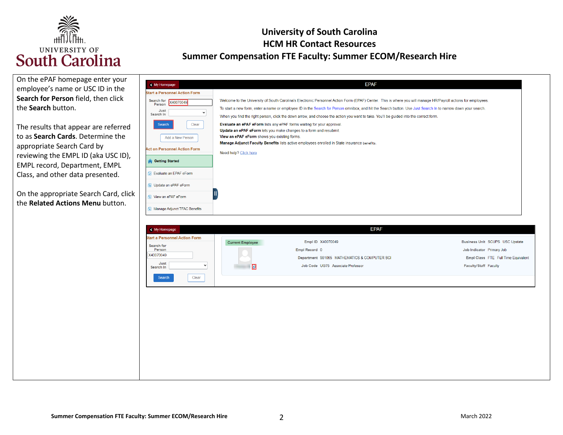

| On the ePAF homepage enter your<br>employee's name or USC ID in the<br>Search for Person field, then click<br>the Search button.<br>The results that appear are referred<br>to as Search Cards. Determine the<br>appropriate Search Card by<br>reviewing the EMPL ID (aka USC ID),<br>EMPL record, Department, EMPL<br>Class, and other data presented.<br>On the appropriate Search Card, click<br>the Related Actions Menu button. | < My Homepage<br><b>Start a Personnel Action Form</b><br>Search for X40070049<br>Person<br>Just<br>$\check{ }$<br>Search In<br>Clear<br>Search<br>Add a New Person<br><b>Act on Personnel Action Form</b><br><b>Getting Started</b><br><b>D</b> Evaluate an EPAF eForm<br><b>b</b> Update an ePAF eForm<br><b>1</b> View an ePAF eForm<br>Manage Adjunct TFAC Benefits | <b>EPAF</b><br>Welcome to the University of South Carolina's Electronic Personnel Action Form (EPAF) Center. This is where you will manage HR/Payroll actions for employees.<br>To start a new form, enter a name or employee ID in the Search for Person omnibox, and hit the Search button. Use Just Search In to narrow down your search.<br>When you find the right person, click the down arrow, and choose the action you want to take. You'll be guided into the correct form.<br>Evaluate an ePAF eForm lists any ePAF forms waiting for your approval.<br>Update an ePAF eForm lets you make changes to a form and resubmit.<br>View an ePAF eForm shows you existing forms.<br>Manage Adjunct Faculty Benefits lists active employees enrolled in State insurance benefits.<br>Need help? Click here |                                                                                                                              |
|--------------------------------------------------------------------------------------------------------------------------------------------------------------------------------------------------------------------------------------------------------------------------------------------------------------------------------------------------------------------------------------------------------------------------------------|------------------------------------------------------------------------------------------------------------------------------------------------------------------------------------------------------------------------------------------------------------------------------------------------------------------------------------------------------------------------|----------------------------------------------------------------------------------------------------------------------------------------------------------------------------------------------------------------------------------------------------------------------------------------------------------------------------------------------------------------------------------------------------------------------------------------------------------------------------------------------------------------------------------------------------------------------------------------------------------------------------------------------------------------------------------------------------------------------------------------------------------------------------------------------------------------|------------------------------------------------------------------------------------------------------------------------------|
|                                                                                                                                                                                                                                                                                                                                                                                                                                      | < My Homepage<br><b>Start a Personnel Action Form</b><br>Search for<br>Person<br>X40070049<br>Just<br>$\check{}$<br>Search In<br>Clear<br>Search                                                                                                                                                                                                                       | <b>EPAF</b><br>Empl ID X40070049<br><b>Current Employee</b><br>Empl Record 0<br>Department 981065 MATHEMATICS & COMPUTER SCI<br>Job Code UG75 Associate Professor<br>D                                                                                                                                                                                                                                                                                                                                                                                                                                                                                                                                                                                                                                         | Business Unit SCUPS USC Upstate<br>Job Indicator Primary Job<br>Empl Class FTE Full Time Equivalent<br>Faculty/Staff Faculty |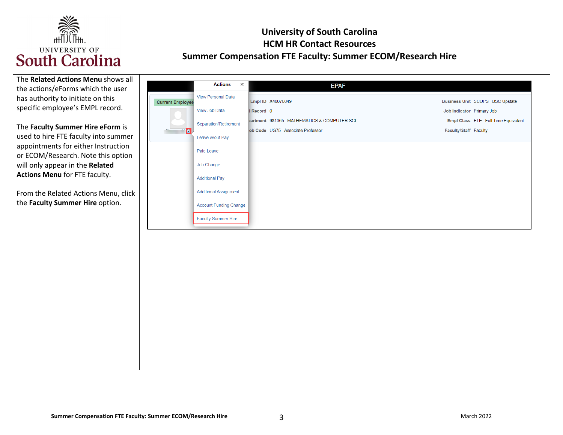

| The Related Actions Menu shows all   |                                                      |                                            |                                     |
|--------------------------------------|------------------------------------------------------|--------------------------------------------|-------------------------------------|
| the actions/eForms which the user    | <b>Actions</b>                                       | $\times$<br><b>EPAF</b>                    |                                     |
| has authority to initiate on this    | <b>View Personal Data</b><br><b>Current Employee</b> | Empl ID X40070049                          | Business Unit SCUPS USC Upstate     |
| specific employee's EMPL record.     | View Job Data                                        | Record 0                                   | Job Indicator Primary Job           |
|                                      |                                                      | partment 981065 MATHEMATICS & COMPUTER SCI | Empl Class FTE Full Time Equivalent |
| The Faculty Summer Hire eForm is     | Separation/Retirement<br>n                           | ob Code UG75 Associate Professor           | Faculty/Staff Faculty               |
| used to hire FTE faculty into summer | Leave w/out Pay                                      |                                            |                                     |
| appointments for either Instruction  |                                                      |                                            |                                     |
| or ECOM/Research. Note this option   | Paid Leave                                           |                                            |                                     |
| will only appear in the Related      | Job Change                                           |                                            |                                     |
| Actions Menu for FTE faculty.        | <b>Additional Pay</b>                                |                                            |                                     |
|                                      |                                                      |                                            |                                     |
| From the Related Actions Menu, click | <b>Additional Assignment</b>                         |                                            |                                     |
| the Faculty Summer Hire option.      | <b>Account Funding Change</b>                        |                                            |                                     |
|                                      |                                                      |                                            |                                     |
|                                      | <b>Faculty Summer Hire</b>                           |                                            |                                     |
|                                      |                                                      |                                            |                                     |
|                                      |                                                      |                                            |                                     |
|                                      |                                                      |                                            |                                     |
|                                      |                                                      |                                            |                                     |
|                                      |                                                      |                                            |                                     |
|                                      |                                                      |                                            |                                     |
|                                      |                                                      |                                            |                                     |
|                                      |                                                      |                                            |                                     |
|                                      |                                                      |                                            |                                     |
|                                      |                                                      |                                            |                                     |
|                                      |                                                      |                                            |                                     |
|                                      |                                                      |                                            |                                     |
|                                      |                                                      |                                            |                                     |
|                                      |                                                      |                                            |                                     |
|                                      |                                                      |                                            |                                     |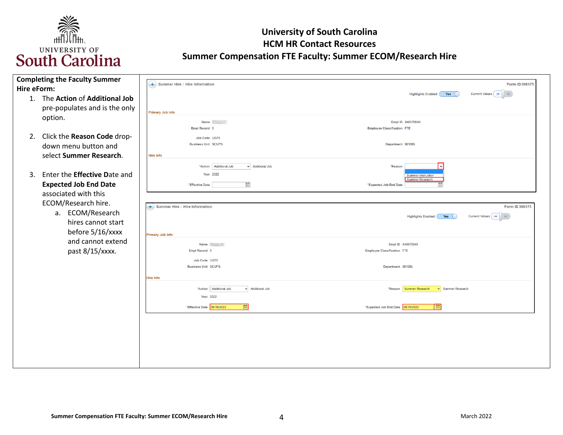

| Hire eForm: | <b>Completing the Faculty Summer</b>                                                           | $(+)$ Summer Hire : Hire Information                                                              | Form ID 396175                                                                                |
|-------------|------------------------------------------------------------------------------------------------|---------------------------------------------------------------------------------------------------|-----------------------------------------------------------------------------------------------|
|             | 1. The Action of Additional Job<br>pre-populates and is the only                               | <b>Primary Job Info</b>                                                                           | <b>Highlights Enabled:</b><br>Yes (                                                           |
|             | option.                                                                                        | <b>Name</b><br>Empl Record 0                                                                      | Empl ID X40070049<br><b>Employee Classification FTE</b>                                       |
|             | 2. Click the Reason Code drop-<br>down menu button and<br>select Summer Research.              | Job Code UG75<br><b>Business Unit SCUPS</b><br><b>Hire Info</b>                                   | Department 981065                                                                             |
|             | 3. Enter the <b>Effective Date and</b><br><b>Expected Job End Date</b><br>associated with this | "Action   Additional Job<br>v Additional Job<br>Year 2022<br>圇<br>*Effective Date                 | *Reason<br><b>Summer Instruction</b><br><b>Summer Research</b><br>曲<br>*Expected Job End Date |
|             | ECOM/Research hire.<br>ECOM/Research<br>a.<br>hires cannot start<br>before 5/16/xxxx           | $\left(\textcolor{red}{\bullet}\right)$ Summer Hire : Hire Information<br><b>Primary Job Info</b> | Form ID 396175<br>Current Values (14<br>Highlights Enabled: (<br>Yes (                        |
|             | and cannot extend<br>past 8/15/xxxx.                                                           | <b>Name</b><br>Empl Record 0<br>Job Code UG75                                                     | Empl ID X40070049<br><b>Employee Classification FTE</b>                                       |
|             |                                                                                                | <b>Business Unit SCUPS</b><br><b>Hire Info</b>                                                    | Department 981065                                                                             |
|             |                                                                                                | "Action Additional Job<br>v Additional Job<br>Year 2022                                           | *Reason Summer Research<br>Summer Research                                                    |
|             |                                                                                                | 画<br>*Effective Date 05/16/2022                                                                   | 圇<br>*Expected Job End Date 08/15/2022                                                        |
|             |                                                                                                |                                                                                                   |                                                                                               |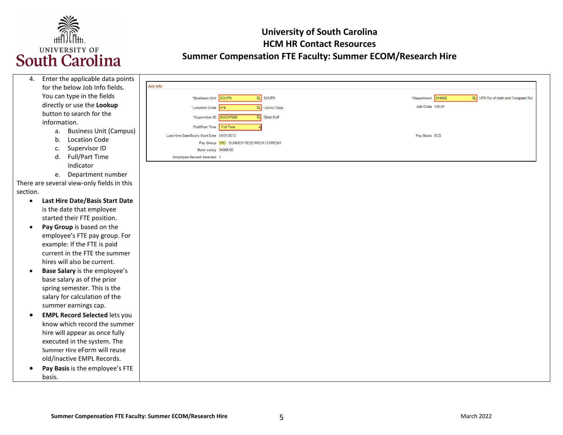

| 4.        | Enter the applicable data points           |                                              |                                                           |
|-----------|--------------------------------------------|----------------------------------------------|-----------------------------------------------------------|
|           | for the below Job Info fields.             | Job Info                                     |                                                           |
|           | You can type in the fields                 | $\overline{Q}$ scups<br>*Business Unit SCUPS | *Department 981065<br>Q UPS Div of Math and Computer Sci. |
|           | directly or use the Lookup                 | Q Library Class<br>*Location Code 974        | Job Code VSUM                                             |
|           | button to search for the                   | Q Dillon Buff<br>*Supervisor ID A00247995    |                                                           |
|           | information.                               | *Full/Part Time Full-Time                    |                                                           |
|           | <b>Business Unit (Campus)</b><br>a.        | Last Hire Date/Basis Start Date 01/01/2013   | Pay Basis SC9                                             |
|           | b.<br><b>Location Code</b>                 | Pay Group SRC SUMMER RESEARCH CURRENT        |                                                           |
|           | Supervisor ID<br>c.                        | Base salary 94358.00                         |                                                           |
|           | Full/Part Time<br>d.                       | <b>Employee Record Selected 1</b>            |                                                           |
|           | indicator                                  |                                              |                                                           |
|           | e. Department number                       |                                              |                                                           |
|           | There are several view-only fields in this |                                              |                                                           |
| section.  |                                            |                                              |                                                           |
| $\bullet$ | Last Hire Date/Basis Start Date            |                                              |                                                           |
|           | is the date that employee                  |                                              |                                                           |
|           | started their FTE position.                |                                              |                                                           |
| $\bullet$ | Pay Group is based on the                  |                                              |                                                           |
|           | employee's FTE pay group. For              |                                              |                                                           |
|           | example: If the FTE is paid                |                                              |                                                           |
|           | current in the FTE the summer              |                                              |                                                           |
|           | hires will also be current.                |                                              |                                                           |
|           |                                            |                                              |                                                           |
| $\bullet$ | Base Salary is the employee's              |                                              |                                                           |
|           | base salary as of the prior                |                                              |                                                           |
|           | spring semester. This is the               |                                              |                                                           |
|           | salary for calculation of the              |                                              |                                                           |
|           | summer earnings cap.                       |                                              |                                                           |
| $\bullet$ | <b>EMPL Record Selected lets you</b>       |                                              |                                                           |
|           | know which record the summer               |                                              |                                                           |
|           | hire will appear as once fully             |                                              |                                                           |
|           | executed in the system. The                |                                              |                                                           |
|           | Summer Hire eForm will reuse               |                                              |                                                           |
|           | old/inactive EMPL Records.                 |                                              |                                                           |
| $\bullet$ | Pay Basis is the employee's FTE            |                                              |                                                           |
|           | basis.                                     |                                              |                                                           |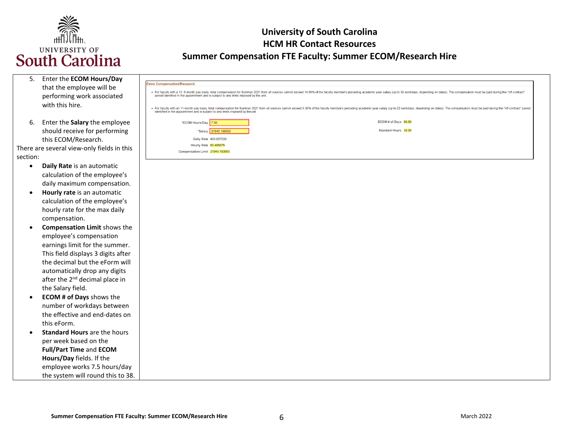

| Enter the ECOM Hours/Day<br>5.<br>that the employee will be<br>performing work associated | <b>Extra Compensation/Research</b><br>• For faculty with a 10 .5-month p<br>period identified in the appointn |
|-------------------------------------------------------------------------------------------|---------------------------------------------------------------------------------------------------------------|
| with this hire.                                                                           | - For faculty with an 11-month pa<br>identified in the appointment an                                         |
| Enter the Salary the employee<br>6.<br>should receive for performing                      | *ECOM Ho                                                                                                      |

this ECOM/Research. There are several view-only fields in this section:

- **Daily Rate** is an automatic calculation of the employee's daily maximum compensation.
- **Hourly rate** is an automatic calculation of the employee's hourly rate for the max daily compensation.
- **Compensation Limit** shows the employee's compensation earnings limit for the summer. This field displays 3 digits after the decimal but the eForm will automatically drop any digits after the 2<sup>nd</sup> decimal place in the Salary field.
- number of workdays between this eForm. • **ECOM # of Days** shows the the effective and end-dates on
- • **Standard Hours** are the hours per week based on the **Full/Part Time** and **ECOM Hours/Day** fields. If the employee works 7.5 hours/day the system will round this to 38.

| ompensation/Research                                                                 |                       |                                                                                                                                                                                                                                |
|--------------------------------------------------------------------------------------|-----------------------|--------------------------------------------------------------------------------------------------------------------------------------------------------------------------------------------------------------------------------|
| riod identified in the appointment and is subject to any limits imposed by the unit. |                       | r faculty with a 10.5-month pay basis, total compensation for Summer 2021 from all sources cannot exceed 14,66% of the faculty member's preceding academic year salary (up to 33 workdays, depending on dates). The compensati |
| entified in the appointment and is subject to any limits imposed by theunit.         |                       | r faculty with an 11-month pay basis, total compensation for Summer 2021 from all sources cannot exceed 9.36% of the faculty member's preceding academic year salary (up to 22 workdays, depending on dates). The compensation |
| *ECOM Hours/Day 7.50                                                                 |                       | ECOM# of Days 66.00                                                                                                                                                                                                            |
|                                                                                      | *Salary 31940.180000  | Standard Hours 38.00                                                                                                                                                                                                           |
|                                                                                      | Daily Rate 483.887000 |                                                                                                                                                                                                                                |
| Hourly Rate 60,485875                                                                |                       |                                                                                                                                                                                                                                |
| Compensation Limit 31940.183000                                                      |                       |                                                                                                                                                                                                                                |
|                                                                                      |                       |                                                                                                                                                                                                                                |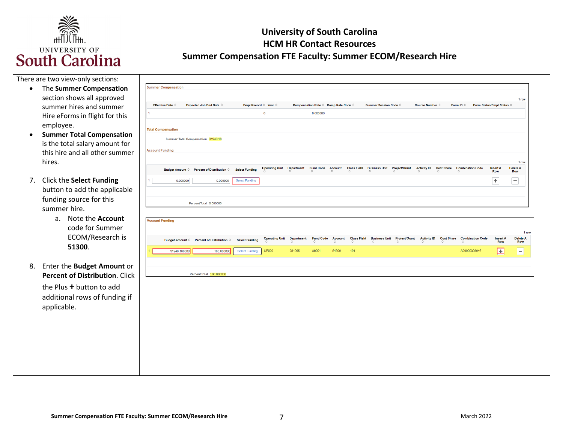

|  | There are two view-only sections: |
|--|-----------------------------------|
|--|-----------------------------------|

- The **Summer Compensation**  section shows all approved summer hires and summer Hire eForms in flight for this employee.
- **Summer Total Compensation**  is the total salary amount for this hire and all other summer hires.
- 7. Click the **Select Funding**  button to add the applicable funding source for this summer hire.
	- a. Note the **Account**  code for Summer ECOM/Research is **51300**.
- 8. Enter the **Budget Amount** or **Percent of Distribution**. Click the Plus **+** button to add additional rows of funding if applicable.

| <b>Effective Date ©</b>   |              | Expected Job End Date $\Diamond$          |                       | Empl Record $\Diamond$ Year $\Diamond$ |                   | Compensation Rate © Comp Rate Code © |              |                         | Summer Session Code © |                                         | Course Number ©         |                   | Form ID $\Diamond$                      | Form Status/Empl Status ©     |                              |
|---------------------------|--------------|-------------------------------------------|-----------------------|----------------------------------------|-------------------|--------------------------------------|--------------|-------------------------|-----------------------|-----------------------------------------|-------------------------|-------------------|-----------------------------------------|-------------------------------|------------------------------|
|                           |              |                                           |                       | $\overline{\mathbf{0}}$                |                   | 0.000000                             |              |                         |                       |                                         |                         |                   |                                         |                               |                              |
|                           |              |                                           |                       |                                        |                   |                                      |              |                         |                       |                                         |                         |                   |                                         |                               |                              |
| <b>Total Compensation</b> |              |                                           |                       |                                        |                   |                                      |              |                         |                       |                                         |                         |                   |                                         |                               |                              |
|                           |              | Summer Total Compensation 31940.18        |                       |                                        |                   |                                      |              |                         |                       |                                         |                         |                   |                                         |                               |                              |
| <b>Account Funding</b>    |              |                                           |                       |                                        |                   |                                      |              |                         |                       |                                         |                         |                   |                                         |                               |                              |
|                           |              |                                           |                       |                                        |                   |                                      |              |                         |                       |                                         |                         |                   |                                         |                               |                              |
|                           |              | Budget Amount © Percent of Distribution © | <b>Select Funding</b> | <b>Operating Unit</b>                  | <b>Department</b> | Fund Code Account                    |              | <b>Class Field</b>      | <b>Business Unit</b>  | <b>Project/Grant</b>                    | <b>Activity ID</b>      | <b>Cost Share</b> | <b>Combination Code</b>                 | <b>Insert A</b>               | 1 row<br>Delete A            |
|                           |              |                                           |                       |                                        |                   | ☆                                    | △            | $\hat{C}$               | ☆                     |                                         | ≎                       | ≎                 | ☆                                       | Row                           | Row                          |
|                           | 0.000000     | 0.000000                                  | Select Funding        |                                        |                   |                                      |              |                         |                       |                                         |                         |                   |                                         | $\div$                        | -                            |
|                           |              | PercentTotal 0.000000                     |                       |                                        |                   |                                      |              |                         |                       |                                         |                         |                   |                                         |                               |                              |
|                           |              |                                           |                       |                                        |                   |                                      |              |                         |                       |                                         |                         |                   |                                         |                               |                              |
| <b>Account Funding</b>    |              |                                           |                       |                                        |                   |                                      |              |                         |                       |                                         |                         |                   |                                         |                               |                              |
|                           |              |                                           |                       |                                        |                   |                                      |              |                         |                       |                                         |                         |                   |                                         |                               | 1 row                        |
|                           |              | Budget Amount © Percent of Distribution © | <b>Select Funding</b> | <b>Operating Unit Department</b>       | ≎                 | <b>Fund Code</b><br>≎                | Account<br>≎ | <b>Class Field</b><br>≎ | ≎                     | <b>Business Unit Project/Grant</b><br>≎ | <b>Activity ID</b><br>♦ | ≎                 | <b>Cost Share Combination Code</b><br>≎ | <b>Insert A</b><br><b>Row</b> | <b>Delete A</b><br>Row       |
|                           | 31940.180000 | 100.000000                                | <b>Select Funding</b> | <b>UP000</b>                           | 981065            | A0001                                | 51300        | 101                     |                       |                                         |                         |                   | A00000008046                            | Ŧ                             | $\qquad \qquad \blacksquare$ |
|                           |              |                                           |                       |                                        |                   |                                      |              |                         |                       |                                         |                         |                   |                                         |                               |                              |
|                           |              |                                           |                       |                                        |                   |                                      |              |                         |                       |                                         |                         |                   |                                         |                               |                              |
|                           |              |                                           |                       |                                        |                   |                                      |              |                         |                       |                                         |                         |                   |                                         |                               |                              |
|                           |              | PercentTotal 100.000000                   |                       |                                        |                   |                                      |              |                         |                       |                                         |                         |                   |                                         |                               |                              |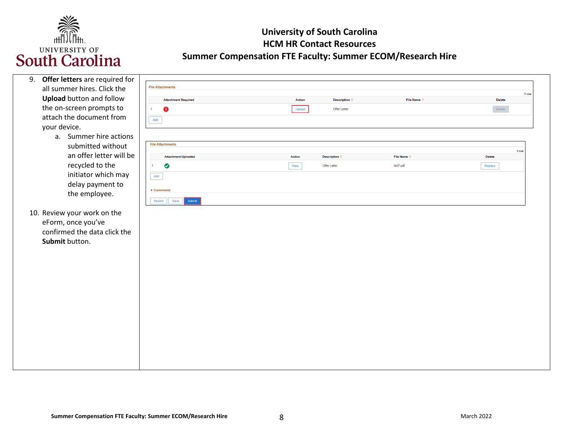

| 9. Offer letters are required for |                               |        |                        |                      |                        |  |
|-----------------------------------|-------------------------------|--------|------------------------|----------------------|------------------------|--|
| all summer hires. Click the       | <b>File Attachments</b>       |        |                        |                      | 1 row                  |  |
| <b>Upload</b> button and follow   | <b>Attachment Required</b>    | Action | Description $\diamond$ | File Name $\diamond$ | <b>Delete</b>          |  |
| the on-screen prompts to          | $\bullet$<br>$\blacksquare$   | Upload | Offer Letter           |                      | Delete                 |  |
| attach the document from          | Add                           |        |                        |                      |                        |  |
| your device.                      |                               |        |                        |                      |                        |  |
| a. Summer hire actions            |                               |        |                        |                      |                        |  |
| submitted without                 | <b>File Attachments</b>       |        |                        |                      |                        |  |
| an offer letter will be           | <b>Attachment Uploaded</b>    | Action | Description $\diamond$ | File Name $\diamond$ | 1 row<br><b>Delete</b> |  |
| recycled to the                   | $\bullet$<br>$\mathbf{1}$     | View   | Offer Letter           | hr27.pdf             | Replace                |  |
| initiator which may               | $\operatorname{\mathsf{Add}}$ |        |                        |                      |                        |  |
| delay payment to                  |                               |        |                        |                      |                        |  |
| the employee.                     | ▶ Comments                    |        |                        |                      |                        |  |
|                                   | Submit<br>Save<br>Search      |        |                        |                      |                        |  |
| 10. Review your work on the       |                               |        |                        |                      |                        |  |
| eForm, once you've                |                               |        |                        |                      |                        |  |
| confirmed the data click the      |                               |        |                        |                      |                        |  |
| Submit button.                    |                               |        |                        |                      |                        |  |
|                                   |                               |        |                        |                      |                        |  |
|                                   |                               |        |                        |                      |                        |  |
|                                   |                               |        |                        |                      |                        |  |
|                                   |                               |        |                        |                      |                        |  |
|                                   |                               |        |                        |                      |                        |  |
|                                   |                               |        |                        |                      |                        |  |
|                                   |                               |        |                        |                      |                        |  |
|                                   |                               |        |                        |                      |                        |  |
|                                   |                               |        |                        |                      |                        |  |
|                                   |                               |        |                        |                      |                        |  |
|                                   |                               |        |                        |                      |                        |  |
|                                   |                               |        |                        |                      |                        |  |
|                                   |                               |        |                        |                      |                        |  |
|                                   |                               |        |                        |                      |                        |  |